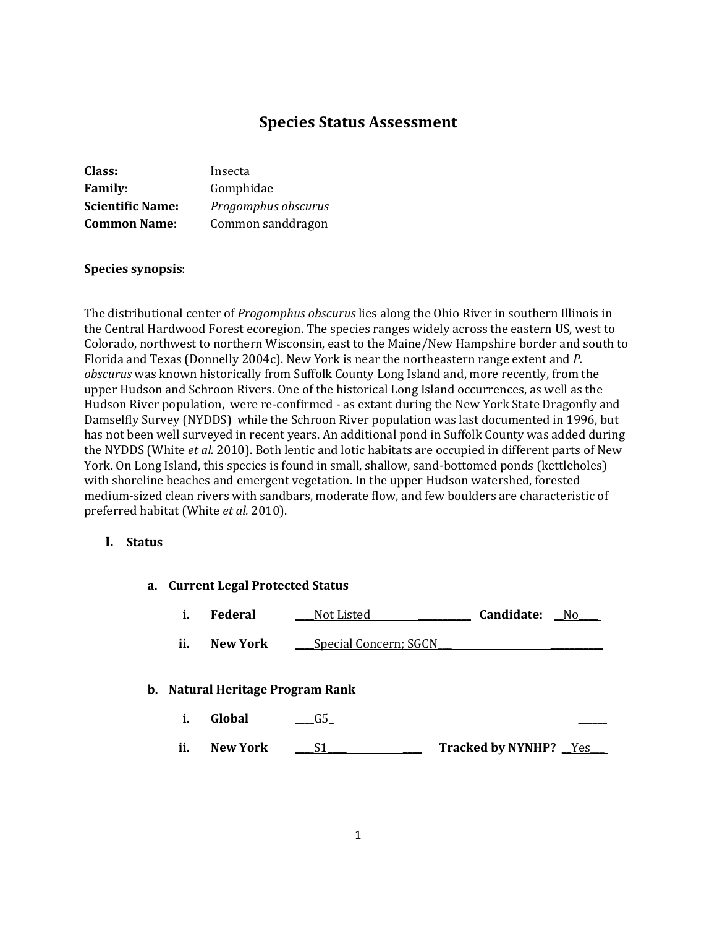# **Species Status Assessment**

| Class:                  | Insecta             |
|-------------------------|---------------------|
| <b>Family:</b>          | Gomphidae           |
| <b>Scientific Name:</b> | Progomphus obscurus |
| <b>Common Name:</b>     | Common sanddragon   |

#### **Species synopsis**:

The distributional center of *Progomphus obscurus* lies along the Ohio River in southern Illinois in the Central Hardwood Forest ecoregion. The species ranges widely across the eastern US, west to Colorado, northwest to northern Wisconsin, east to the Maine/New Hampshire border and south to Florida and Texas (Donnelly 2004c). New York is near the northeastern range extent and *P. obscurus* was known historically from Suffolk County Long Island and, more recently, from the upper Hudson and Schroon Rivers. One of the historical Long Island occurrences, as well as the Hudson River population, were re-confirmed - as extant during the New York State Dragonfly and Damselfly Survey (NYDDS) while the Schroon River population was last documented in 1996, but has not been well surveyed in recent years. An additional pond in Suffolk County was added during the NYDDS (White *et al.* 2010). Both lentic and lotic habitats are occupied in different parts of New York. On Long Island, this species is found in small, shallow, sand-bottomed ponds (kettleholes) with shoreline beaches and emergent vegetation. In the upper Hudson watershed, forested medium-sized clean rivers with sandbars, moderate flow, and few boulders are characteristic of preferred habitat (White *et al.* 2010).

### **I. Status**

| a. Current Legal Protected Status |                                  |                       |                              |
|-----------------------------------|----------------------------------|-----------------------|------------------------------|
| i.                                | <b>Federal</b>                   | Not Listed            | Candidate:<br>No.            |
| ii.                               | New York                         | Special Concern; SGCN |                              |
|                                   | b. Natural Heritage Program Rank |                       |                              |
| i.                                | Global                           | G5                    |                              |
| ii.                               | <b>New York</b>                  | S1                    | <b>Tracked by NYNHP?</b> Yes |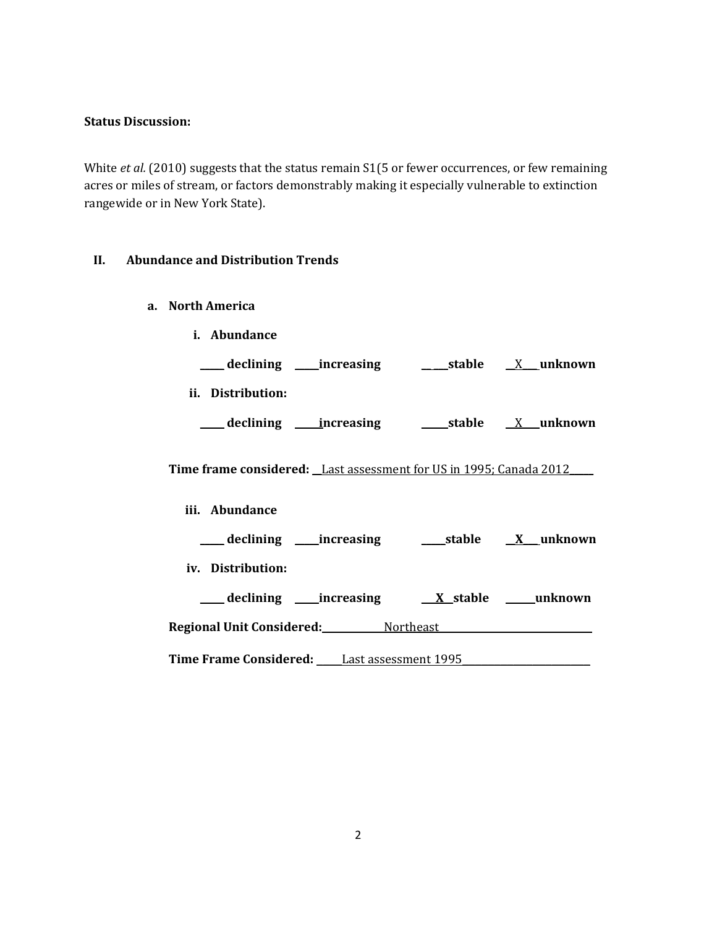#### **Status Discussion:**

White *et al.* (2010) suggests that the status remain S1(5 or fewer occurrences, or few remaining acres or miles of stream, or factors demonstrably making it especially vulnerable to extinction rangewide or in New York State).

# **II. Abundance and Distribution Trends**

- **a. North America**
	- **i. Abundance**

| declining         | _increasing | stable | _unknown |
|-------------------|-------------|--------|----------|
| ii. Distribution: |             |        |          |
| declining         | increasing  | stable | _unknown |

**Time frame considered: \_\_**Last assessment for US in 1995; Canada 2012**\_\_\_\_\_**

**iii. Abundance**

| ____ declining _____increasing                        | ____stable      | <u>X</u> unknown |
|-------------------------------------------------------|-----------------|------------------|
| iv. Distribution:                                     |                 |                  |
| declining _____increasing                             | <u>X</u> stable | unknown          |
| Regional Unit Considered: Northeast                   |                 |                  |
| <b>Time Frame Considered:</b><br>Last assessment 1995 |                 |                  |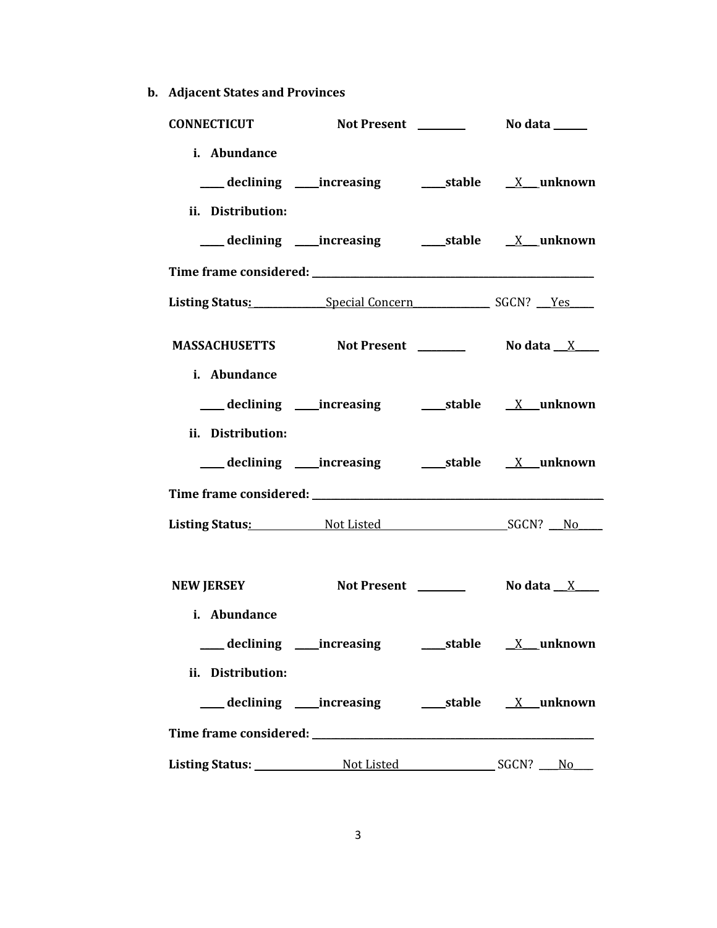**b. Adjacent States and Provinces**

| <b>CONNECTICUT</b>                |                                           |  |
|-----------------------------------|-------------------------------------------|--|
| i. Abundance<br>ii. Distribution: |                                           |  |
|                                   |                                           |  |
|                                   |                                           |  |
|                                   | Listing Status: Special Concern SGCN? Yes |  |
|                                   | MASSACHUSETTS Not Present 1987 No data X  |  |
| i. Abundance<br>ii. Distribution: |                                           |  |
|                                   |                                           |  |
|                                   |                                           |  |
|                                   | Listing Status: Not Listed SGCN? No       |  |
| <b>NEW JERSEY</b><br>i. Abundance |                                           |  |
|                                   |                                           |  |
| ii. Distribution:                 |                                           |  |
|                                   |                                           |  |
|                                   |                                           |  |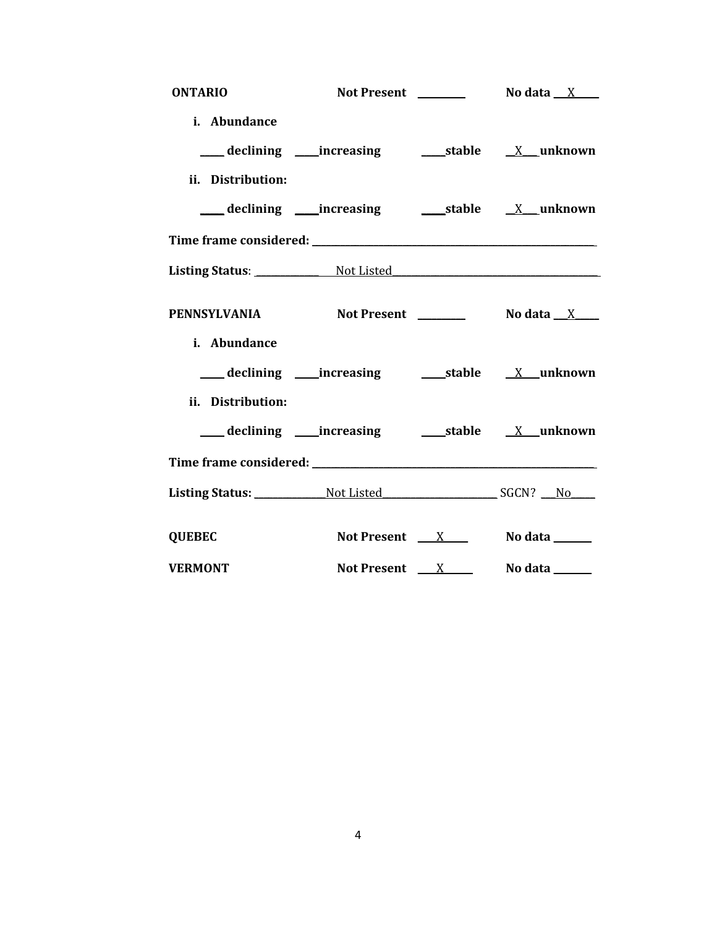| <b>ONTARIO</b>                        |                 | Not Present $\frac{1}{\sqrt{1-\frac{1}{2}}}\qquad$ No data $\frac{X}{X}$ |
|---------------------------------------|-----------------|--------------------------------------------------------------------------|
| i. Abundance                          |                 |                                                                          |
|                                       |                 |                                                                          |
| ii. Distribution:                     |                 |                                                                          |
|                                       |                 |                                                                          |
|                                       |                 |                                                                          |
| Listing Status: Not Listed Not Listed |                 |                                                                          |
| PENNSYLVANIA Not Present No data X    |                 |                                                                          |
| i. Abundance                          |                 |                                                                          |
|                                       |                 |                                                                          |
| ii. Distribution:                     |                 |                                                                          |
|                                       |                 |                                                                          |
|                                       |                 |                                                                          |
| Listing Status: Not Listed SGCN? No   |                 |                                                                          |
| <b>QUEBEC</b>                         |                 | Not Present $X$ No data $X$                                              |
| <b>VERMONT</b>                        | Not Present $X$ | No data <u>same</u>                                                      |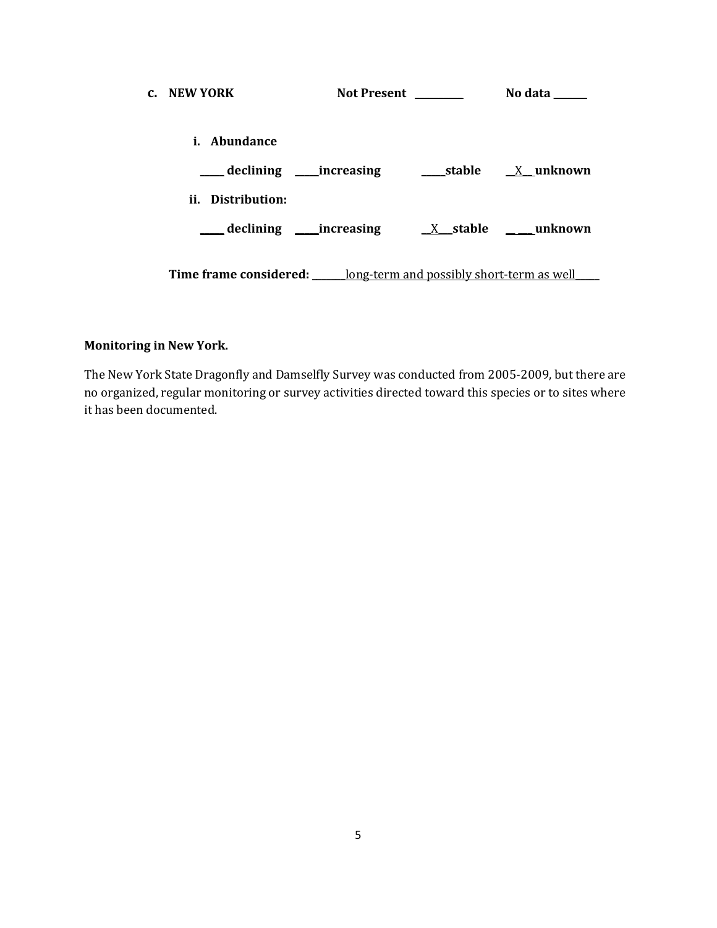| c. NEW YORK                                                                    | Not Present ________                  | No data |
|--------------------------------------------------------------------------------|---------------------------------------|---------|
| i. Abundance                                                                   |                                       |         |
|                                                                                |                                       |         |
| ii. Distribution:                                                              |                                       |         |
|                                                                                | declining increasing X stable unknown |         |
| <b>Time frame considered:</b> <u>long-term and possibly short-term as well</u> |                                       |         |

# **Monitoring in New York.**

The New York State Dragonfly and Damselfly Survey was conducted from 2005-2009, but there are no organized, regular monitoring or survey activities directed toward this species or to sites where it has been documented.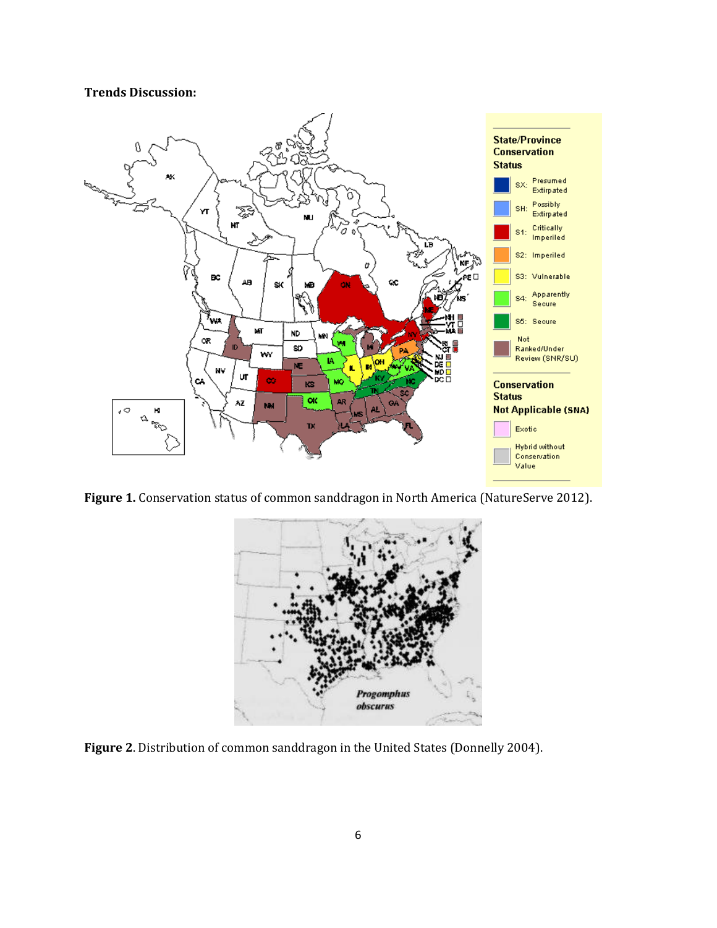### **Trends Discussion:**



**Figure 1.** Conservation status of common sanddragon in North America (NatureServe 2012).



**Figure 2**. Distribution of common sanddragon in the United States (Donnelly 2004).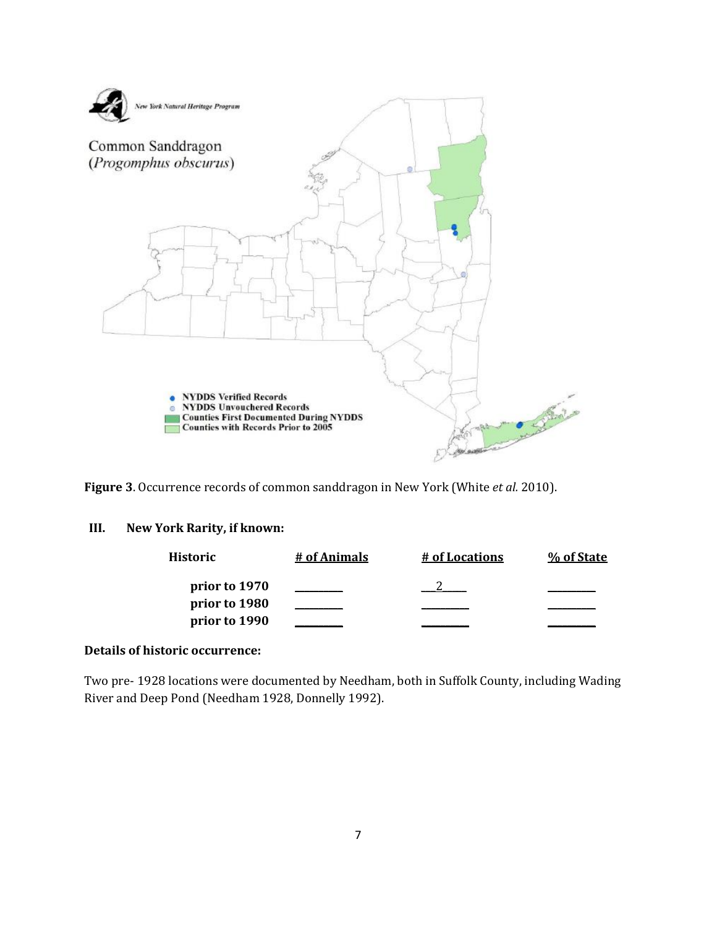

**Figure 3**. Occurrence records of common sanddragon in New York (White *et al.* 2010).

### **III. New York Rarity, if known:**

| Historic      | # of Animals | # of Locations | % of State |
|---------------|--------------|----------------|------------|
| prior to 1970 |              |                |            |
| prior to 1980 |              |                |            |
| prior to 1990 |              |                |            |

### **Details of historic occurrence:**

Two pre- 1928 locations were documented by Needham, both in Suffolk County, including Wading River and Deep Pond (Needham 1928, Donnelly 1992).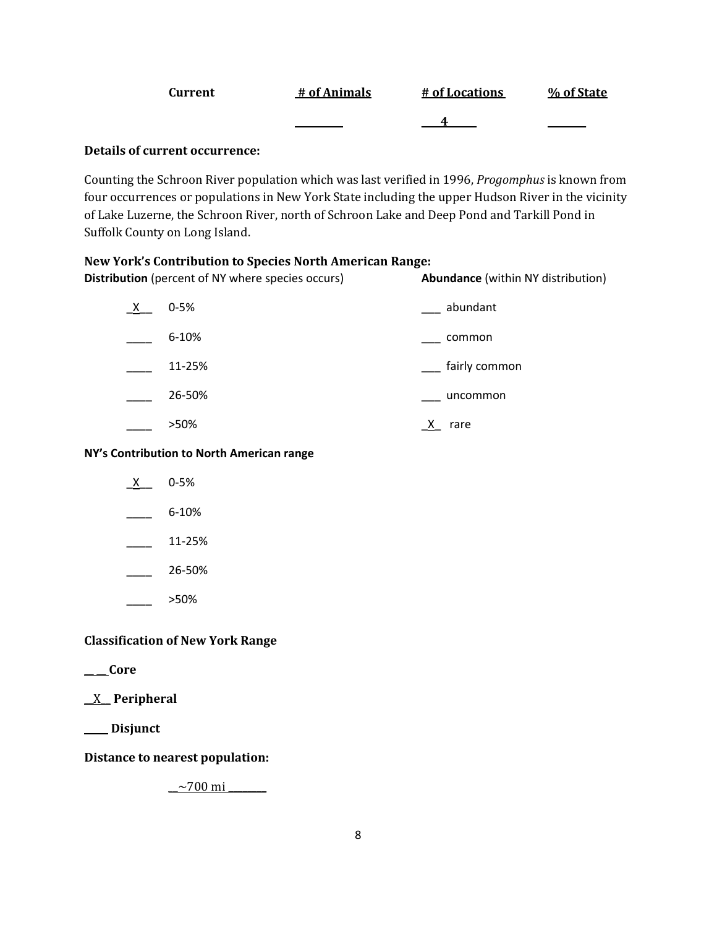| Current | # of Animals | # of Locations | % of State |
|---------|--------------|----------------|------------|
|         |              |                |            |

### **Details of current occurrence:**

Counting the Schroon River population which was last verified in 1996, *Progomphus* is known from four occurrences or populations in New York State including the upper Hudson River in the vicinity of Lake Luzerne, the Schroon River, north of Schroon Lake and Deep Pond and Tarkill Pond in Suffolk County on Long Island.

### **New York's Contribution to Species North American Range:**

| <b>Distribution</b> (percent of NY where species occurs) |           | Abundance (within NY distribution) |
|----------------------------------------------------------|-----------|------------------------------------|
| $\mathsf{X}$                                             | $0 - 5%$  | abundant                           |
|                                                          | $6 - 10%$ | common                             |
|                                                          | 11-25%    | fairly common                      |
|                                                          | 26-50%    | uncommon                           |
|                                                          | >50%      | rare                               |

#### **NY's Contribution to North American range**

- $X$  0-5%
- $-$  6-10%
- $\frac{11-25\%}{2}$
- $-26 50%$
- \_\_\_\_ >50%

# **Classification of New York Range**

**\_\_ \_\_ Core**

**\_\_**X\_\_ **Peripheral**

**\_\_\_\_\_ Disjunct**

**Distance to nearest population:**

 $-2700 \text{ mi}$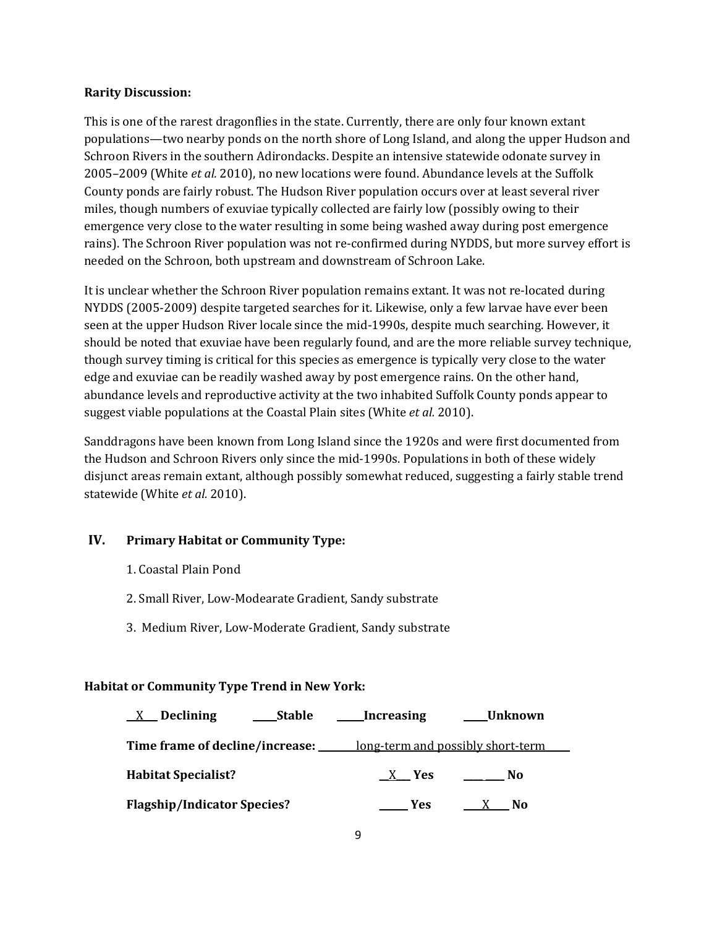### **Rarity Discussion:**

This is one of the rarest dragonflies in the state. Currently, there are only four known extant populations—two nearby ponds on the north shore of Long Island, and along the upper Hudson and Schroon Rivers in the southern Adirondacks. Despite an intensive statewide odonate survey in 2005–2009 (White *et al.* 2010), no new locations were found. Abundance levels at the Suffolk County ponds are fairly robust. The Hudson River population occurs over at least several river miles, though numbers of exuviae typically collected are fairly low (possibly owing to their emergence very close to the water resulting in some being washed away during post emergence rains). The Schroon River population was not re-confirmed during NYDDS, but more survey effort is needed on the Schroon, both upstream and downstream of Schroon Lake.

It is unclear whether the Schroon River population remains extant. It was not re-located during NYDDS (2005-2009) despite targeted searches for it. Likewise, only a few larvae have ever been seen at the upper Hudson River locale since the mid-1990s, despite much searching. However, it should be noted that exuviae have been regularly found, and are the more reliable survey technique, though survey timing is critical for this species as emergence is typically very close to the water edge and exuviae can be readily washed away by post emergence rains. On the other hand, abundance levels and reproductive activity at the two inhabited Suffolk County ponds appear to suggest viable populations at the Coastal Plain sites (White *et al.* 2010).

Sanddragons have been known from Long Island since the 1920s and were first documented from the Hudson and Schroon Rivers only since the mid-1990s. Populations in both of these widely disjunct areas remain extant, although possibly somewhat reduced, suggesting a fairly stable trend statewide (White *et al.* 2010).

# **IV. Primary Habitat or Community Type:**

- 1. Coastal Plain Pond
- 2. Small River, Low-Modearate Gradient, Sandy substrate
- 3.Medium River, Low-Moderate Gradient, Sandy substrate

# **Habitat or Community Type Trend in New York:**

| <b>Stable</b><br><b>Declining</b><br>$\mathbf{X}$ | Increasing                        | Unknown |
|---------------------------------------------------|-----------------------------------|---------|
| Time frame of decline/increase: ____              | long-term and possibly short-term |         |
| <b>Habitat Specialist?</b>                        | X Yes                             | No      |
| <b>Flagship/Indicator Species?</b>                | Yes                               | N0      |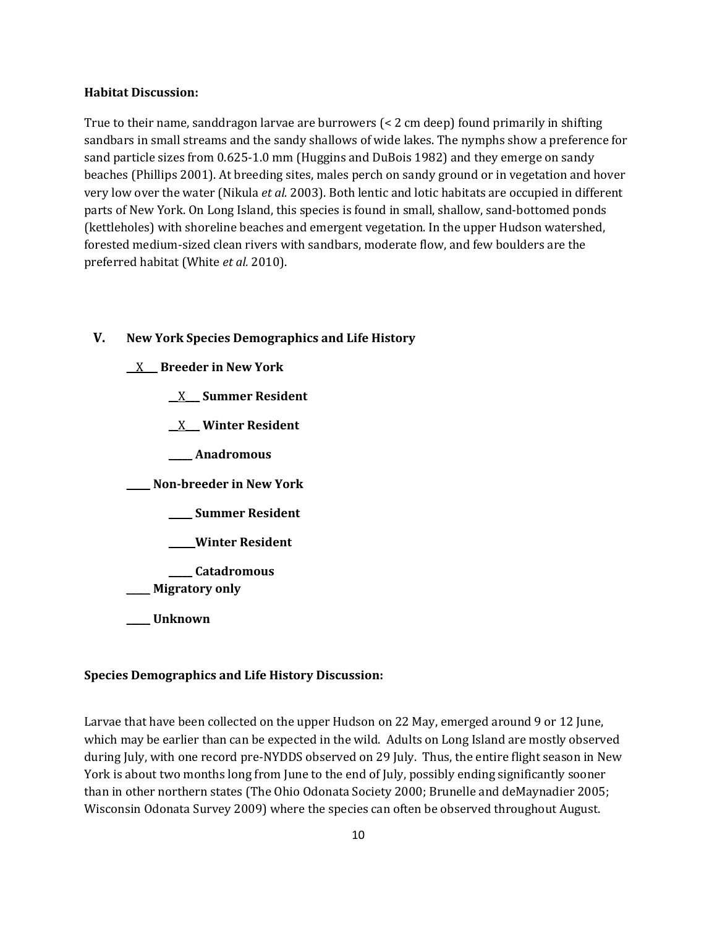#### **Habitat Discussion:**

True to their name, sanddragon larvae are burrowers (< 2 cm deep) found primarily in shifting sandbars in small streams and the sandy shallows of wide lakes. The nymphs show a preference for sand particle sizes from 0.625-1.0 mm (Huggins and DuBois 1982) and they emerge on sandy beaches (Phillips 2001). At breeding sites, males perch on sandy ground or in vegetation and hover very low over the water (Nikula *et al.* 2003). Both lentic and lotic habitats are occupied in different parts of New York. On Long Island, this species is found in small, shallow, sand-bottomed ponds (kettleholes) with shoreline beaches and emergent vegetation. In the upper Hudson watershed, forested medium-sized clean rivers with sandbars, moderate flow, and few boulders are the preferred habitat (White *et al.* 2010).

### **V. New York Species Demographics and Life History**

**\_\_**X**\_\_\_ Breeder in New York**

**\_\_**X**\_\_\_ Summer Resident**

**\_\_**X**\_\_\_ Winter Resident**

**\_\_\_\_\_ Anadromous**

**\_\_\_\_\_ Non-breeder in New York**

**\_\_\_\_\_ Summer Resident**

**\_\_\_\_\_ Winter Resident**

**\_\_\_\_\_ Catadromous**

\_\_\_\_\_ **Migratory only**

**\_\_\_\_\_ Unknown**

#### **Species Demographics and Life History Discussion:**

Larvae that have been collected on the upper Hudson on 22 May, emerged around 9 or 12 June, which may be earlier than can be expected in the wild. Adults on Long Island are mostly observed during July, with one record pre-NYDDS observed on 29 July. Thus, the entire flight season in New York is about two months long from June to the end of July, possibly ending significantly sooner than in other northern states (The Ohio Odonata Society 2000; Brunelle and deMaynadier 2005; Wisconsin Odonata Survey 2009) where the species can often be observed throughout August.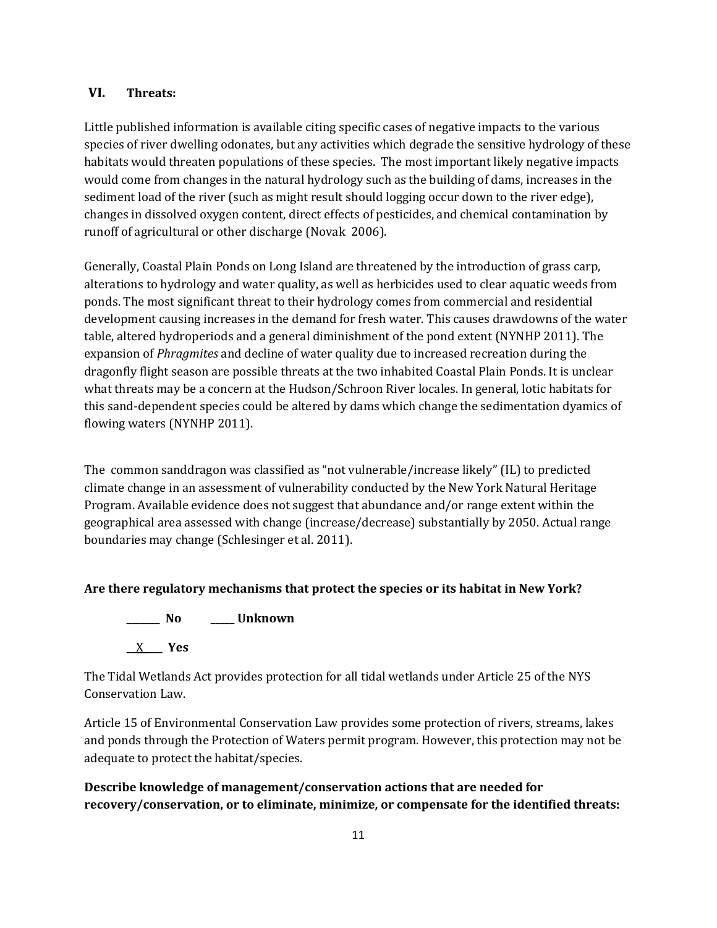### **VI. Threats:**

Little published information is available citing specific cases of negative impacts to the various species of river dwelling odonates, but any activities which degrade the sensitive hydrology of these habitats would threaten populations of these species. The most important likely negative impacts would come from changes in the natural hydrology such as the building of dams, increases in the sediment load of the river (such as might result should logging occur down to the river edge), changes in dissolved oxygen content, direct effects of pesticides, and chemical contamination by runoff of agricultural or other discharge (Novak 2006).

Generally, Coastal Plain Ponds on Long Island are threatened by the introduction of grass carp, alterations to hydrology and water quality, as well as herbicides used to clear aquatic weeds from ponds. The most significant threat to their hydrology comes from commercial and residential development causing increases in the demand for fresh water. This causes drawdowns of the water table, altered hydroperiods and a general diminishment of the pond extent (NYNHP 2011). The expansion of *Phragmites* and decline of water quality due to increased recreation during the dragonfly flight season are possible threats at the two inhabited Coastal Plain Ponds. It is unclear what threats may be a concern at the Hudson/Schroon River locales. In general, lotic habitats for this sand-dependent species could be altered by dams which change the sedimentation dyamics of flowing waters (NYNHP 2011).

The common sanddragon was classified as "not vulnerable/increase likely" (IL) to predicted climate change in an assessment of vulnerability conducted by the New York Natural Heritage Program. Available evidence does not suggest that abundance and/or range extent within the geographical area assessed with change (increase/decrease) substantially by 2050. Actual range boundaries may change (Schlesinger et al. 2011).

# **Are there regulatory mechanisms that protect the species or its habitat in New York?**



The Tidal Wetlands Act provides protection for all tidal wetlands under Article 25 of the NYS Conservation Law.

Article 15 of Environmental Conservation Law provides some protection of rivers, streams, lakes and ponds through the Protection of Waters permit program. However, this protection may not be adequate to protect the habitat/species.

**Describe knowledge of management/conservation actions that are needed for recovery/conservation, or to eliminate, minimize, or compensate for the identified threats:**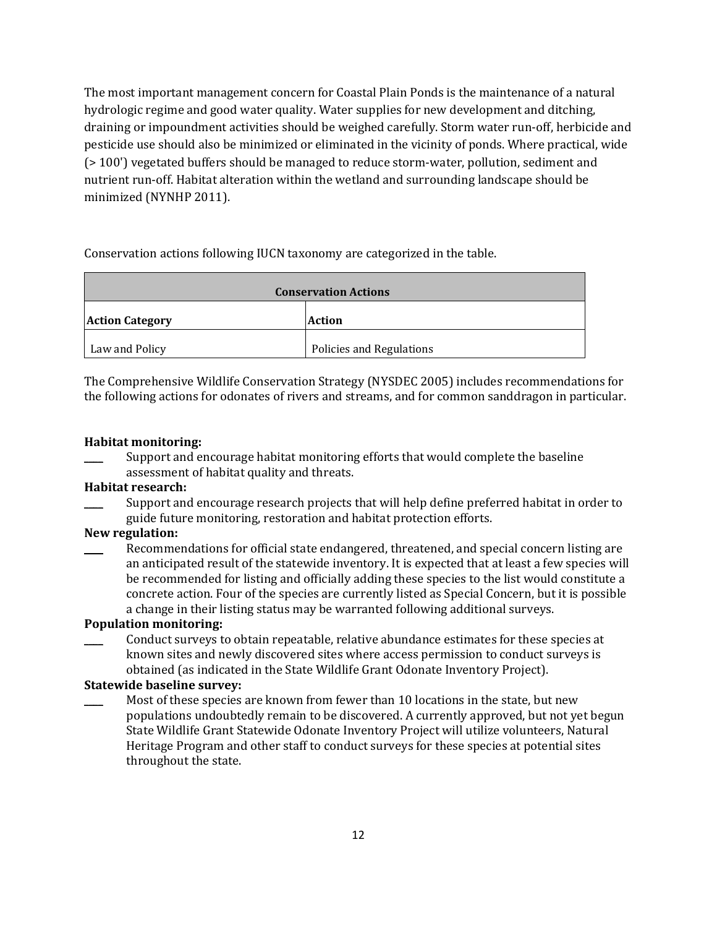The most important management concern for Coastal Plain Ponds is the maintenance of a natural hydrologic regime and good water quality. Water supplies for new development and ditching, draining or impoundment activities should be weighed carefully. Storm water run-off, herbicide and pesticide use should also be minimized or eliminated in the vicinity of ponds. Where practical, wide (> 100') vegetated buffers should be managed to reduce storm-water, pollution, sediment and nutrient run-off. Habitat alteration within the wetland and surrounding landscape should be minimized (NYNHP 2011).

Conservation actions following IUCN taxonomy are categorized in the table.

| <b>Conservation Actions</b> |                          |  |
|-----------------------------|--------------------------|--|
| <b>Action Category</b>      | <b>Action</b>            |  |
| Law and Policy              | Policies and Regulations |  |

The Comprehensive Wildlife Conservation Strategy (NYSDEC 2005) includes recommendations for the following actions for odonates of rivers and streams, and for common sanddragon in particular.

### **Habitat monitoring:**

Support and encourage habitat monitoring efforts that would complete the baseline assessment of habitat quality and threats.

#### **Habitat research:**

Support and encourage research projects that will help define preferred habitat in order to guide future monitoring, restoration and habitat protection efforts.

### **New regulation:**

Recommendations for official state endangered, threatened, and special concern listing are an anticipated result of the statewide inventory. It is expected that at least a few species will be recommended for listing and officially adding these species to the list would constitute a concrete action. Four of the species are currently listed as Special Concern, but it is possible a change in their listing status may be warranted following additional surveys.

### **Population monitoring:**

Conduct surveys to obtain repeatable, relative abundance estimates for these species at known sites and newly discovered sites where access permission to conduct surveys is obtained (as indicated in the State Wildlife Grant Odonate Inventory Project).

# **Statewide baseline survey:**

Most of these species are known from fewer than 10 locations in the state, but new populations undoubtedly remain to be discovered. A currently approved, but not yet begun State Wildlife Grant Statewide Odonate Inventory Project will utilize volunteers, Natural Heritage Program and other staff to conduct surveys for these species at potential sites throughout the state.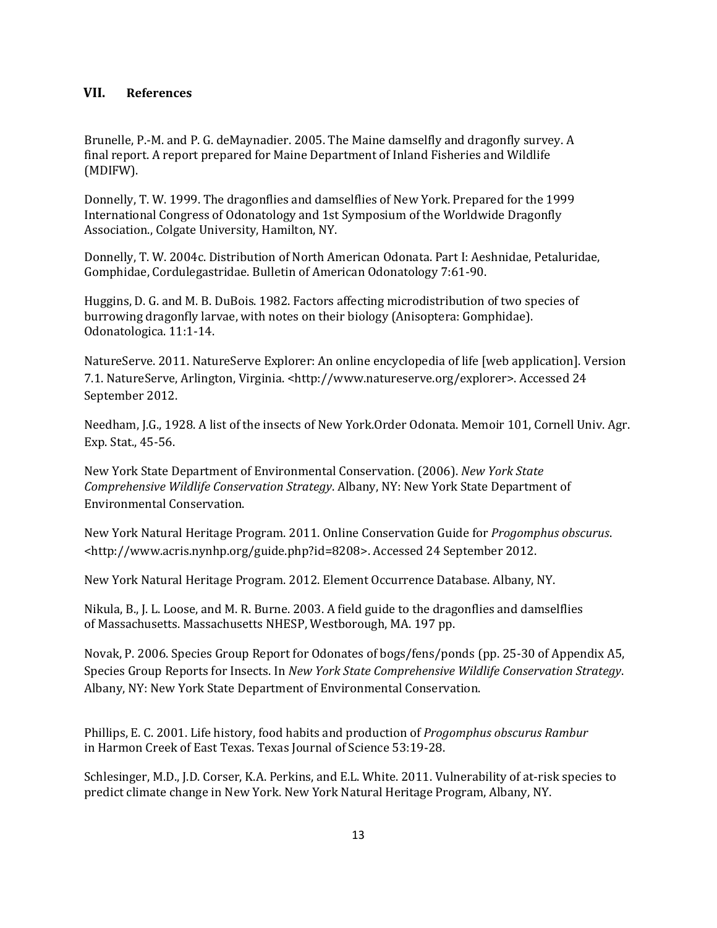#### **VII. References**

Brunelle, P.-M. and P. G. deMaynadier. 2005. The Maine damselfly and dragonfly survey. A final report. A report prepared for Maine Department of Inland Fisheries and Wildlife (MDIFW).

Donnelly, T. W. 1999. The dragonflies and damselflies of New York. Prepared for the 1999 International Congress of Odonatology and 1st Symposium of the Worldwide Dragonfly Association., Colgate University, Hamilton, NY.

Donnelly, T. W. 2004c. Distribution of North American Odonata. Part I: Aeshnidae, Petaluridae, Gomphidae, Cordulegastridae. Bulletin of American Odonatology 7:61-90.

Huggins, D. G. and M. B. DuBois. 1982. Factors affecting microdistribution of two species of burrowing dragonfly larvae, with notes on their biology (Anisoptera: Gomphidae). Odonatologica. 11:1-14.

NatureServe. 2011. NatureServe Explorer: An online encyclopedia of life [web application]. Version 7.1. NatureServe, Arlington, Virginia. <http://www.natureserve.org/explorer>. Accessed 24 September 2012.

Needham, J.G., 1928. A list of the insects of New York.Order Odonata. Memoir 101, Cornell Univ. Agr. Exp. Stat., 45-56.

New York State Department of Environmental Conservation. (2006). *New York State Comprehensive Wildlife Conservation Strategy*. Albany, NY: New York State Department of Environmental Conservation.

New York Natural Heritage Program. 2011. Online Conservation Guide for *Progomphus obscurus*. <http://www.acris.nynhp.org/guide.php?id=8208>. Accessed 24 September 2012.

New York Natural Heritage Program. 2012. Element Occurrence Database. Albany, NY.

Nikula, B., J. L. Loose, and M. R. Burne. 2003. A field guide to the dragonflies and damselflies of Massachusetts. Massachusetts NHESP, Westborough, MA. 197 pp.

Novak, P. 2006. Species Group Report for Odonates of bogs/fens/ponds (pp. 25-30 of Appendix A5, Species Group Reports for Insects. In *New York State Comprehensive Wildlife Conservation Strategy*. Albany, NY: New York State Department of Environmental Conservation.

Phillips, E. C. 2001. Life history, food habits and production of *Progomphus obscurus Rambur* in Harmon Creek of East Texas. Texas Journal of Science 53:19-28.

Schlesinger, M.D., J.D. Corser, K.A. Perkins, and E.L. White. 2011. Vulnerability of at-risk species to predict climate change in New York. New York Natural Heritage Program, Albany, NY.